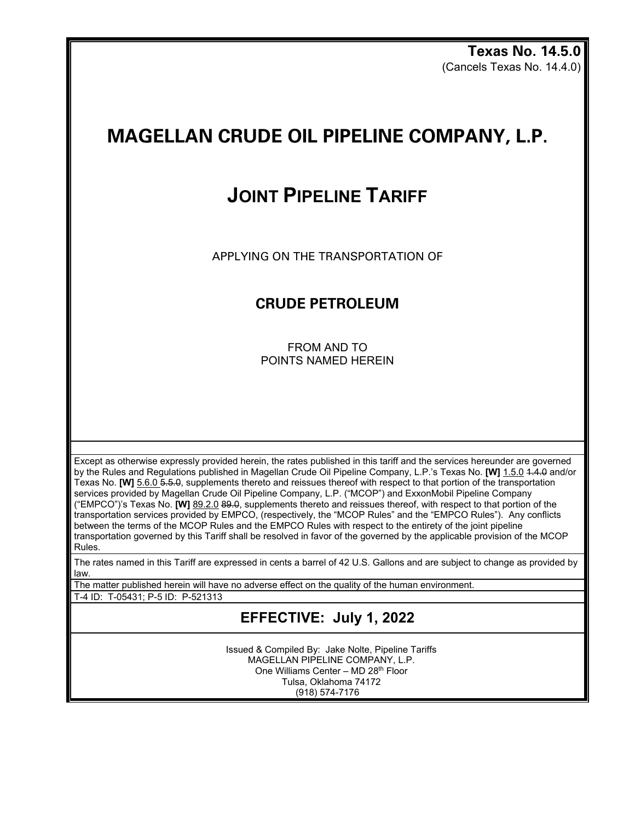**Texas No. 14.5.0** (Cancels Texas No. 14.4.0)

## **MAGELLAN CRUDE OIL PIPELINE COMPANY, L.P.**

## **JOINT PIPELINE TARIFF**

APPLYING ON THE TRANSPORTATION OF

## **CRUDE PETROLEUM**

FROM AND TO POINTS NAMED HEREIN

Except as otherwise expressly provided herein, the rates published in this tariff and the services hereunder are governed by the Rules and Regulations published in Magellan Crude Oil Pipeline Company, L.P.'s Texas No. **[W]** 1.5.0 4.4.0 and/or Texas No. **[W]** 5.6.0 5.5.0, supplements thereto and reissues thereof with respect to that portion of the transportation services provided by Magellan Crude Oil Pipeline Company, L.P. ("MCOP") and ExxonMobil Pipeline Company ("EMPCO")'s Texas No. **[W]** 89.2.0 89.0, supplements thereto and reissues thereof, with respect to that portion of the transportation services provided by EMPCO, (respectively, the "MCOP Rules" and the "EMPCO Rules"). Any conflicts between the terms of the MCOP Rules and the EMPCO Rules with respect to the entirety of the joint pipeline transportation governed by this Tariff shall be resolved in favor of the governed by the applicable provision of the MCOP Rules.

The rates named in this Tariff are expressed in cents a barrel of 42 U.S. Gallons and are subject to change as provided by law.

The matter published herein will have no adverse effect on the quality of the human environment.

T-4 ID: T-05431; P-5 ID: P-521313

**EFFECTIVE: July 1, 2022**

Issued & Compiled By: Jake Nolte, Pipeline Tariffs MAGELLAN PIPELINE COMPANY, L.P. One Williams Center – MD 28th Floor Tulsa, Oklahoma 74172 (918) 574-7176